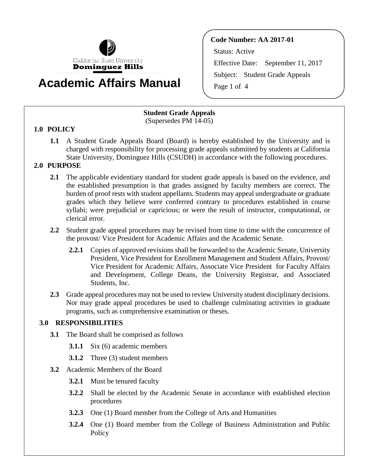

# **Academic Affairs Manual**  $\frac{1}{\text{Page 1 of 4}}$

**Code Number: AA 2017-01** Status: Active Effective Date: September 11, 2017 Subject: Student Grade Appeals

#### **Student Grade Appeals** (Supersedes PM 14-05)

## **1.0 POLICY**

**1.1** A Student Grade Appeals Board (Board) is hereby established by the University and is charged with responsibility for processing grade appeals submitted by students at California State University, Dominguez Hills (CSUDH) in accordance with the following procedures.

## **2.0 PURPOSE**

- **2.1** The applicable evidentiary standard for student grade appeals is based on the evidence, and the established presumption is that grades assigned by faculty members are correct. The burden of proof rests with student appellants. Students may appeal undergraduate or graduate grades which they believe were conferred contrary to procedures established in course syllabi; were prejudicial or capricious; or were the result of instructor, computational, or clerical error.
- **2.2** Student grade appeal procedures may be revised from time to time with the concurrence of the provost/ Vice President for Academic Affairs and the Academic Senate.
	- **2.2.1** Copies of approved revisions shall be forwarded to the Academic Senate, University President, Vice President for Enrollment Management and Student Affairs, Provost/ Vice President for Academic Affairs, Associate Vice President for Faculty Affairs and Development, College Deans, the University Registrar, and Associated Students, Inc.
- **2.3** Grade appeal procedures may not be used to review University student disciplinary decisions. Nor may grade appeal procedures be used to challenge culminating activities in graduate programs, such as comprehensive examination or theses.

### **3.0 RESPONSIBILITIES**

- **3.1** The Board shall be comprised as follows
	- **3.1.1** Six (6) academic members
	- **3.1.2** Three (3) student members
- **3.2** Academic Members of the Board
	- **3.2.1** Must be tenured faculty
	- **3.2.2** Shall be elected by the Academic Senate in accordance with established election procedures
	- **3.2.3** One (1) Board member from the College of Arts and Humanities
	- **3.2.4** One (1) Board member from the College of Business Administration and Public **Policy**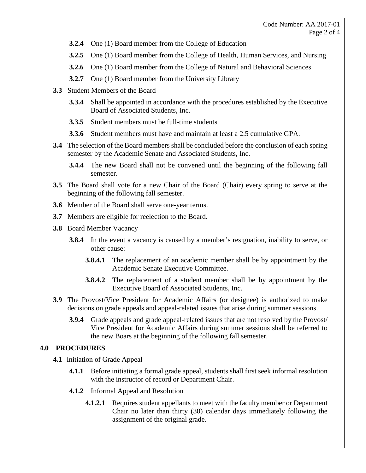- **3.2.4** One (1) Board member from the College of Education
- **3.2.5** One (1) Board member from the College of Health, Human Services, and Nursing
- **3.2.6** One (1) Board member from the College of Natural and Behavioral Sciences
- **3.2.7** One (1) Board member from the University Library
- **3.3** Student Members of the Board
	- **3.3.4** Shall be appointed in accordance with the procedures established by the Executive Board of Associated Students, Inc.
	- **3.3.5** Student members must be full-time students
	- **3.3.6** Student members must have and maintain at least a 2.5 cumulative GPA.
- **3.4** The selection of the Board members shall be concluded before the conclusion of each spring semester by the Academic Senate and Associated Students, Inc.
	- **3.4.4** The new Board shall not be convened until the beginning of the following fall semester.
- **3.5** The Board shall vote for a new Chair of the Board (Chair) every spring to serve at the beginning of the following fall semester.
- **3.6** Member of the Board shall serve one-year terms.
- **3.7** Members are eligible for reelection to the Board.
- **3.8** Board Member Vacancy
	- **3.8.4** In the event a vacancy is caused by a member's resignation, inability to serve, or other cause:
		- **3.8.4.1** The replacement of an academic member shall be by appointment by the Academic Senate Executive Committee.
		- **3.8.4.2** The replacement of a student member shall be by appointment by the Executive Board of Associated Students, Inc.
- **3.9** The Provost/Vice President for Academic Affairs (or designee) is authorized to make decisions on grade appeals and appeal-related issues that arise during summer sessions.
	- **3.9.4** Grade appeals and grade appeal-related issues that are not resolved by the Provost/ Vice President for Academic Affairs during summer sessions shall be referred to the new Boars at the beginning of the following fall semester.

### **4.0 PROCEDURES**

- **4.1** Initiation of Grade Appeal
	- **4.1.1** Before initiating a formal grade appeal, students shall first seek informal resolution with the instructor of record or Department Chair.
	- **4.1.2** Informal Appeal and Resolution
		- **4.1.2.1** Requires student appellants to meet with the faculty member or Department Chair no later than thirty (30) calendar days immediately following the assignment of the original grade.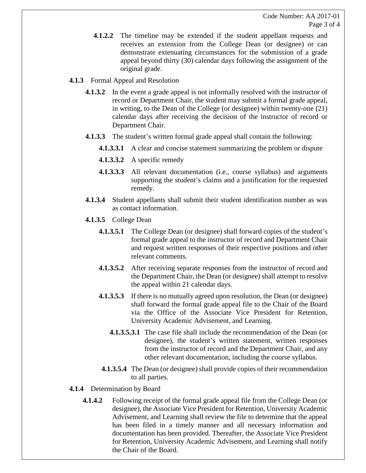- **4.1.2.2** The timeline may be extended if the student appellant requests and receives an extension from the College Dean (or designee) or can demonstrate extenuating circumstances for the submission of a grade appeal beyond thirty (30) calendar days following the assignment of the original grade.
- **4.1.3** Formal Appeal and Resolution
	- **4.1.3.2** In the event a grade appeal is not informally resolved with the instructor of record or Department Chair, the student may submit a formal grade appeal, in writing, to the Dean of the College (or designee) within twenty-one (21) calendar days after receiving the decision of the instructor of record or Department Chair.
	- **4.1.3.3** The student's written formal grade appeal shall contain the following:
		- **4.1.3.3.1** A clear and concise statement summarizing the problem or dispute
		- **4.1.3.3.2** A specific remedy
		- **4.1.3.3.3** All relevant documentation (i.e., course syllabus) and arguments supporting the student's claims and a justification for the requested remedy.
	- **4.1.3.4** Student appellants shall submit their student identification number as was as contact information.
	- **4.1.3.5** College Dean
		- **4.1.3.5.1** The College Dean (or designee) shall forward copies of the student's formal grade appeal to the instructor of record and Department Chair and request written responses of their respective positions and other relevant comments.
		- **4.1.3.5.2** After receiving separate responses from the instructor of record and the Department Chair, the Dean (or designee) shall attempt to resolve the appeal within 21 calendar days.
		- **4.1.3.5.3** If there is no mutually agreed upon resolution, the Dean (or designee) shall forward the formal grade appeal file to the Chair of the Board via the Office of the Associate Vice President for Retention, University Academic Advisement, and Learning.
			- **4.1.3.5.3.1** The case file shall include the recommendation of the Dean (or designee), the student's written statement, written responses from the instructor of record and the Department Chair, and any other relevant documentation, including the course syllabus.
		- **4.1.3.5.4** The Dean (or designee) shall provide copies of their recommendation to all parties.
- **4.1.4** Determination by Board
	- **4.1.4.2** Following receipt of the formal grade appeal file from the College Dean (or designee), the Associate Vice President for Retention, University Academic Advisement, and Learning shall review the file to determine that the appeal has been filed in a timely manner and all necessary information and documentation has been provided. Thereafter, the Associate Vice President for Retention, University Academic Advisement, and Learning shall notify the Chair of the Board.